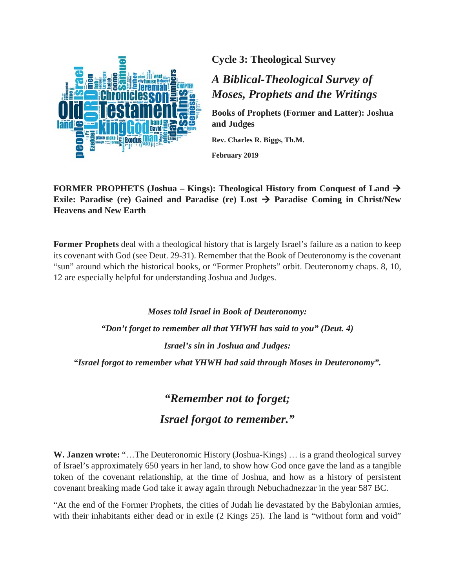

**Cycle 3: Theological Survey**

## *A Biblical-Theological Survey of Moses, Prophets and the Writings*

**Books of Prophets (Former and Latter): Joshua and Judges**

**Rev. Charles R. Biggs, Th.M.**

**February 2019**

**FORMER PROPHETS (Joshua – Kings): Theological History from Conquest of Land Exile: Paradise (re) Gained and Paradise (re) Lost**  $\rightarrow$  **Paradise Coming in Christ/New Heavens and New Earth**

**Former Prophets** deal with a theological history that is largely Israel's failure as a nation to keep its covenant with God (see Deut. 29-31). Remember that the Book of Deuteronomy is the covenant "sun" around which the historical books, or "Former Prophets" orbit. Deuteronomy chaps. 8, 10, 12 are especially helpful for understanding Joshua and Judges.

*Moses told Israel in Book of Deuteronomy: "Don't forget to remember all that YHWH has said to you" (Deut. 4) Israel's sin in Joshua and Judges: "Israel forgot to remember what YHWH had said through Moses in Deuteronomy".*

# *"Remember not to forget; Israel forgot to remember."*

**W. Janzen wrote:** "…The Deuteronomic History (Joshua-Kings) … is a grand theological survey of Israel's approximately 650 years in her land, to show how God once gave the land as a tangible token of the covenant relationship, at the time of Joshua, and how as a history of persistent covenant breaking made God take it away again through Nebuchadnezzar in the year 587 BC.

"At the end of the Former Prophets, the cities of Judah lie devastated by the Babylonian armies, with their inhabitants either dead or in exile (2 Kings 25). The land is "without form and void"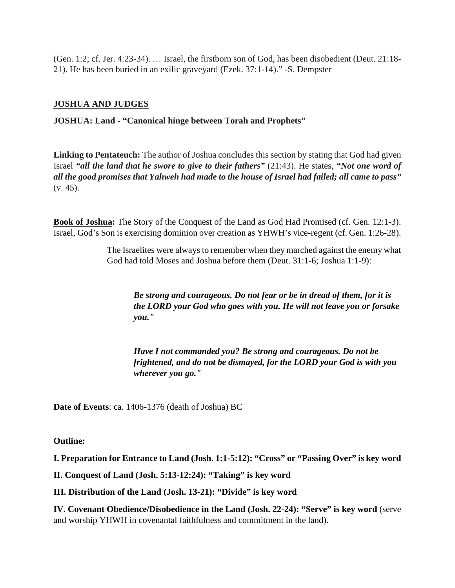(Gen. 1:2; cf. Jer. 4:23-34). … Israel, the firstborn son of God, has been disobedient (Deut. 21:18- 21). He has been buried in an exilic graveyard (Ezek. 37:1-14)." -S. Dempster

## **JOSHUA AND JUDGES**

**JOSHUA: Land - "Canonical hinge between Torah and Prophets"**

**Linking to Pentateuch:** The author of Joshua concludes this section by stating that God had given Israel *"all the land that he swore to give to their fathers"* (21:43). He states, *"Not one word of all the good promises that Yahweh had made to the house of Israel had failed; all came to pass"* (v. 45).

**Book of Joshua:** The Story of the Conquest of the Land as God Had Promised (cf. Gen. 12:1-3). Israel, God's Son is exercising dominion over creation as YHWH's vice-regent (cf. Gen. 1:26-28).

> The Israelites were always to remember when they marched against the enemy what God had told Moses and Joshua before them (Deut. 31:1-6; Joshua 1:1-9):

*Be strong and courageous. Do not fear or be in dread of them, for it is the LORD your God who goes with you. He will not leave you or forsake you."*

*Have I not commanded you? Be strong and courageous. Do not be frightened, and do not be dismayed, for the LORD your God is with you wherever you go."*

**Date of Events**: ca. 1406-1376 (death of Joshua) BC

**Outline:**

**I. Preparation for Entrance to Land (Josh. 1:1-5:12): "Cross" or "Passing Over" is key word**

**II. Conquest of Land (Josh. 5:13-12:24): "Taking" is key word**

**III. Distribution of the Land (Josh. 13-21): "Divide" is key word**

**IV. Covenant Obedience/Disobedience in the Land (Josh. 22-24): "Serve" is key word** (serve and worship YHWH in covenantal faithfulness and commitment in the land).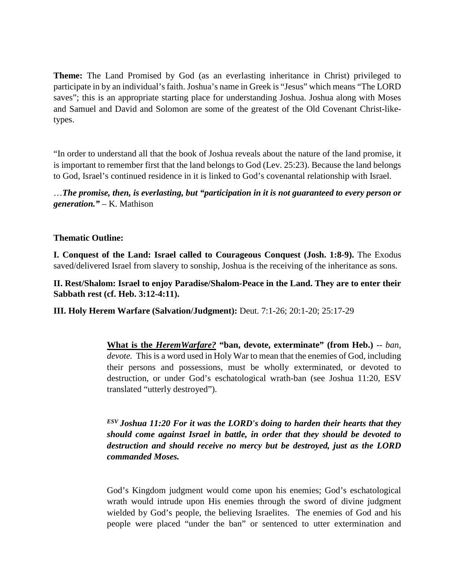**Theme:** The Land Promised by God (as an everlasting inheritance in Christ) privileged to participate in by an individual's faith. Joshua's name in Greek is "Jesus" which means "The LORD saves"; this is an appropriate starting place for understanding Joshua. Joshua along with Moses and Samuel and David and Solomon are some of the greatest of the Old Covenant Christ-liketypes.

"In order to understand all that the book of Joshua reveals about the nature of the land promise, it is important to remember first that the land belongs to God (Lev. 25:23). Because the land belongs to God, Israel's continued residence in it is linked to God's covenantal relationship with Israel.

…*The promise, then, is everlasting, but "participation in it is not guaranteed to every person or generation."* – K. Mathison

## **Thematic Outline:**

**I. Conquest of the Land: Israel called to Courageous Conquest (Josh. 1:8-9).** The Exodus saved/delivered Israel from slavery to sonship, Joshua is the receiving of the inheritance as sons.

**II. Rest/Shalom: Israel to enjoy Paradise/Shalom-Peace in the Land. They are to enter their Sabbath rest (cf. Heb. 3:12-4:11).**

**III. Holy Herem Warfare (Salvation/Judgment):** Deut. 7:1-26; 20:1-20; 25:17-29

**What is the** *HeremWarfare?* **"ban, devote, exterminate" (from Heb.)** -- *ban*, *devote.* This is a word used in Holy War to mean that the enemies of God, including their persons and possessions, must be wholly exterminated, or devoted to destruction, or under God's eschatological wrath-ban (see Joshua 11:20, ESV translated "utterly destroyed").

*ESV Joshua 11:20 For it was the LORD's doing to harden their hearts that they should come against Israel in battle, in order that they should be devoted to destruction and should receive no mercy but be destroyed, just as the LORD commanded Moses.*

God's Kingdom judgment would come upon his enemies; God's eschatological wrath would intrude upon His enemies through the sword of divine judgment wielded by God's people, the believing Israelites. The enemies of God and his people were placed "under the ban" or sentenced to utter extermination and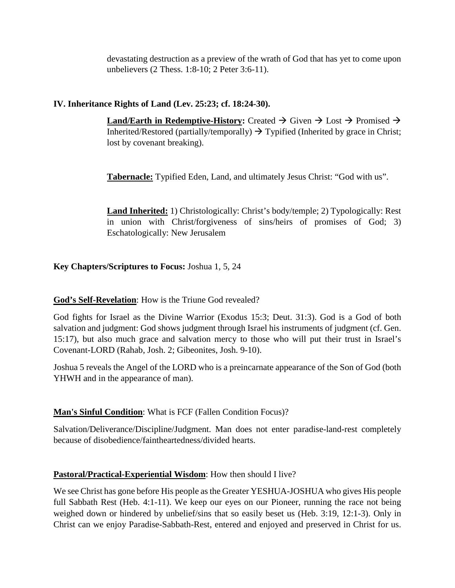devastating destruction as a preview of the wrath of God that has yet to come upon unbelievers (2 Thess. 1:8-10; 2 Peter 3:6-11).

## **IV. Inheritance Rights of Land (Lev. 25:23; cf. 18:24-30).**

**Land/Earth in Redemptive-History:** Created  $\rightarrow$  Given  $\rightarrow$  Lost  $\rightarrow$  Promised  $\rightarrow$ Inherited/Restored (partially/temporally)  $\rightarrow$  Typified (Inherited by grace in Christ; lost by covenant breaking).

**Tabernacle:** Typified Eden, Land, and ultimately Jesus Christ: "God with us".

**Land Inherited:** 1) Christologically: Christ's body/temple; 2) Typologically: Rest in union with Christ/forgiveness of sins/heirs of promises of God; 3) Eschatologically: New Jerusalem

## **Key Chapters/Scriptures to Focus:** Joshua 1, 5, 24

## **God's Self-Revelation**: How is the Triune God revealed?

God fights for Israel as the Divine Warrior (Exodus 15:3; Deut. 31:3). God is a God of both salvation and judgment: God shows judgment through Israel his instruments of judgment (cf. Gen. 15:17), but also much grace and salvation mercy to those who will put their trust in Israel's Covenant-LORD (Rahab, Josh. 2; Gibeonites, Josh. 9-10).

Joshua 5 reveals the Angel of the LORD who is a preincarnate appearance of the Son of God (both YHWH and in the appearance of man).

## **Man's Sinful Condition**: What is FCF (Fallen Condition Focus)?

Salvation/Deliverance/Discipline/Judgment. Man does not enter paradise-land-rest completely because of disobedience/faintheartedness/divided hearts.

## **Pastoral/Practical-Experiential Wisdom**: How then should I live?

We see Christ has gone before His people as the Greater YESHUA-JOSHUA who gives His people full Sabbath Rest (Heb. 4:1-11). We keep our eyes on our Pioneer, running the race not being weighed down or hindered by unbelief/sins that so easily beset us (Heb. 3:19, 12:1-3). Only in Christ can we enjoy Paradise-Sabbath-Rest, entered and enjoyed and preserved in Christ for us.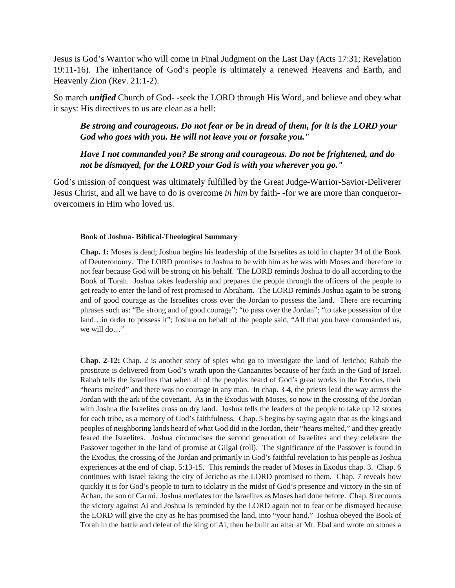Jesus is God's Warrior who will come in Final Judgment on the Last Day (Acts 17:31; Revelation 19:11-16). The inheritance of God's people is ultimately a renewed Heavens and Earth, and Heavenly Zion (Rev. 21:1-2).

So march *unified* Church of God- -seek the LORD through His Word, and believe and obey what it says: His directives to us are clear as a bell:

*Be strong and courageous. Do not fear or be in dread of them, for it is the LORD your God who goes with you. He will not leave you or forsake you."*

*Have I not commanded you? Be strong and courageous. Do not be frightened, and do not be dismayed, for the LORD your God is with you wherever you go."*

God's mission of conquest was ultimately fulfilled by the Great Judge-Warrior-Savior-Deliverer Jesus Christ, and all we have to do is overcome *in him* by faith- -for we are more than conquerorovercomers in Him who loved us.

#### **Book of Joshua- Biblical-Theological Summary**

**Chap. 1:** Moses is dead; Joshua begins his leadership of the Israelites as told in chapter 34 of the Book of Deuteronomy. The LORD promises to Joshua to be with him as he was with Moses and therefore to not fear because God will be strong on his behalf. The LORD reminds Joshua to do all according to the Book of Torah. Joshua takes leadership and prepares the people through the officers of the people to get ready to enter the land of rest promised to Abraham. The LORD reminds Joshua again to be strong and of good courage as the Israelites cross over the Jordan to possess the land. There are recurring phrases such as: "Be strong and of good courage"; "to pass over the Jordan"; "to take possession of the land…in order to possess it"; Joshua on behalf of the people said, "All that you have commanded us, we will do…"

**Chap. 2-12:** Chap. 2 is another story of spies who go to investigate the land of Jericho; Rahab the prostitute is delivered from God's wrath upon the Canaanites because of her faith in the God of Israel. Rahab tells the Israelites that when all of the peoples heard of God's great works in the Exodus, their "hearts melted" and there was no courage in any man. In chap. 3-4, the priests lead the way across the Jordan with the ark of the covenant. As in the Exodus with Moses, so now in the crossing of the Jordan with Joshua the Israelites cross on dry land. Joshua tells the leaders of the people to take up 12 stones for each tribe, as a memory of God's faithfulness. Chap. 5 begins by saying again that as the kings and peoples of neighboring lands heard of what God did in the Jordan, their "hearts melted," and they greatly feared the Israelites. Joshua circumcises the second generation of Israelites and they celebrate the Passover together in the land of promise at Gilgal (roll). The significance of the Passover is found in the Exodus, the crossing of the Jordan and primarily in God's faithful revelation to his people as Joshua experiences at the end of chap. 5:13-15. This reminds the reader of Moses in Exodus chap. 3. Chap. 6 continues with Israel taking the city of Jericho as the LORD promised to them. Chap. 7 reveals how quickly it is for God's people to turn to idolatry in the midst of God's presence and victory in the sin of Achan, the son of Carmi. Joshua mediates for the Israelites as Moses had done before. Chap. 8 recounts the victory against Ai and Joshua is reminded by the LORD again not to fear or be dismayed because the LORD will give the city as he has promised the land, into "your hand." Joshua obeyed the Book of Torah in the battle and defeat of the king of Ai, then he built an altar at Mt. Ebal and wrote on stones a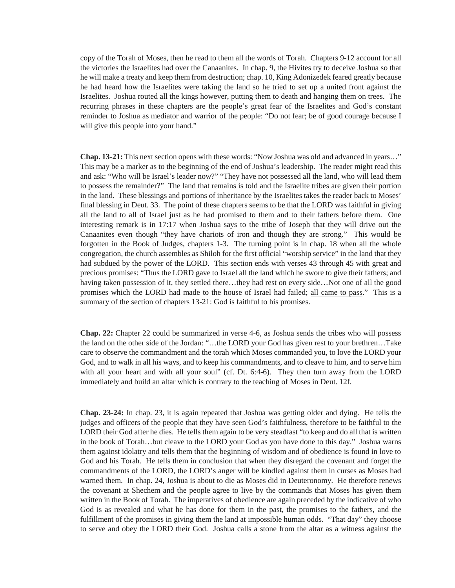copy of the Torah of Moses, then he read to them all the words of Torah. Chapters 9-12 account for all the victories the Israelites had over the Canaanites. In chap. 9, the Hivites try to deceive Joshua so that he will make a treaty and keep them from destruction; chap. 10, King Adonizedek feared greatly because he had heard how the Israelites were taking the land so he tried to set up a united front against the Israelites. Joshua routed all the kings however, putting them to death and hanging them on trees. The recurring phrases in these chapters are the people's great fear of the Israelites and God's constant reminder to Joshua as mediator and warrior of the people: "Do not fear; be of good courage because I will give this people into your hand."

**Chap. 13-21:** This next section opens with these words: "Now Joshua was old and advanced in years…" This may be a marker as to the beginning of the end of Joshua's leadership. The reader might read this and ask: "Who will be Israel's leader now?" "They have not possessed all the land, who will lead them to possess the remainder?" The land that remains is told and the Israelite tribes are given their portion in the land. These blessings and portions of inheritance by the Israelites takes the reader back to Moses' final blessing in Deut. 33. The point of these chapters seems to be that the LORD was faithful in giving all the land to all of Israel just as he had promised to them and to their fathers before them. One interesting remark is in 17:17 when Joshua says to the tribe of Joseph that they will drive out the Canaanites even though "they have chariots of iron and though they are strong." This would be forgotten in the Book of Judges, chapters 1-3. The turning point is in chap. 18 when all the whole congregation, the church assembles as Shiloh for the first official "worship service" in the land that they had subdued by the power of the LORD. This section ends with verses 43 through 45 with great and precious promises: "Thus the LORD gave to Israel all the land which he swore to give their fathers; and having taken possession of it, they settled there…they had rest on every side…Not one of all the good promises which the LORD had made to the house of Israel had failed; all came to pass." This is a summary of the section of chapters 13-21: God is faithful to his promises.

**Chap. 22:** Chapter 22 could be summarized in verse 4-6, as Joshua sends the tribes who will possess the land on the other side of the Jordan: "…the LORD your God has given rest to your brethren…Take care to observe the commandment and the torah which Moses commanded you, to love the LORD your God, and to walk in all his ways, and to keep his commandments, and to cleave to him, and to serve him with all your heart and with all your soul" (cf. Dt. 6:4-6). They then turn away from the LORD immediately and build an altar which is contrary to the teaching of Moses in Deut. 12f.

**Chap. 23-24:** In chap. 23, it is again repeated that Joshua was getting older and dying. He tells the judges and officers of the people that they have seen God's faithfulness, therefore to be faithful to the LORD their God after he dies. He tells them again to be very steadfast "to keep and do all that is written in the book of Torah…but cleave to the LORD your God as you have done to this day." Joshua warns them against idolatry and tells them that the beginning of wisdom and of obedience is found in love to God and his Torah. He tells them in conclusion that when they disregard the covenant and forget the commandments of the LORD, the LORD's anger will be kindled against them in curses as Moses had warned them. In chap. 24, Joshua is about to die as Moses did in Deuteronomy. He therefore renews the covenant at Shechem and the people agree to live by the commands that Moses has given them written in the Book of Torah. The imperatives of obedience are again preceded by the indicative of who God is as revealed and what he has done for them in the past, the promises to the fathers, and the fulfillment of the promises in giving them the land at impossible human odds. "That day" they choose to serve and obey the LORD their God. Joshua calls a stone from the altar as a witness against the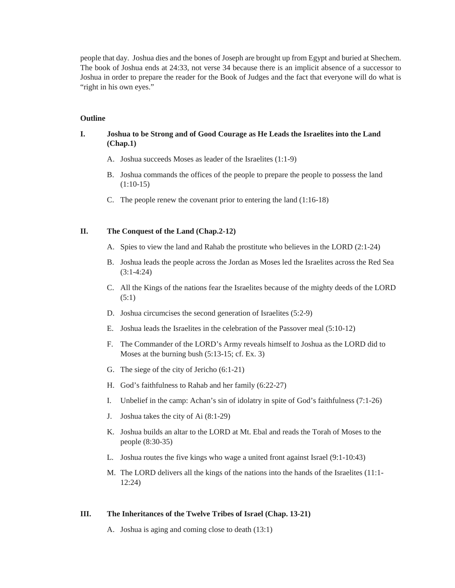people that day. Joshua dies and the bones of Joseph are brought up from Egypt and buried at Shechem. The book of Joshua ends at 24:33, not verse 34 because there is an implicit absence of a successor to Joshua in order to prepare the reader for the Book of Judges and the fact that everyone will do what is "right in his own eyes."

#### **Outline**

#### **I. Joshua to be Strong and of Good Courage as He Leads the Israelites into the Land (Chap.1)**

- A. Joshua succeeds Moses as leader of the Israelites (1:1-9)
- B. Joshua commands the offices of the people to prepare the people to possess the land (1:10-15)
- C. The people renew the covenant prior to entering the land (1:16-18)

#### **II. The Conquest of the Land (Chap.2-12)**

- A. Spies to view the land and Rahab the prostitute who believes in the LORD (2:1-24)
- B. Joshua leads the people across the Jordan as Moses led the Israelites across the Red Sea (3:1-4:24)
- C. All the Kings of the nations fear the Israelites because of the mighty deeds of the LORD (5:1)
- D. Joshua circumcises the second generation of Israelites (5:2-9)
- E. Joshua leads the Israelites in the celebration of the Passover meal (5:10-12)
- F. The Commander of the LORD's Army reveals himself to Joshua as the LORD did to Moses at the burning bush (5:13-15; cf. Ex. 3)
- G. The siege of the city of Jericho (6:1-21)
- H. God's faithfulness to Rahab and her family (6:22-27)
- I. Unbelief in the camp: Achan's sin of idolatry in spite of God's faithfulness (7:1-26)
- J. Joshua takes the city of Ai (8:1-29)
- K. Joshua builds an altar to the LORD at Mt. Ebal and reads the Torah of Moses to the people (8:30-35)
- L. Joshua routes the five kings who wage a united front against Israel (9:1-10:43)
- M. The LORD delivers all the kings of the nations into the hands of the Israelites (11:1- 12:24)

#### **III. The Inheritances of the Twelve Tribes of Israel (Chap. 13-21)**

A. Joshua is aging and coming close to death (13:1)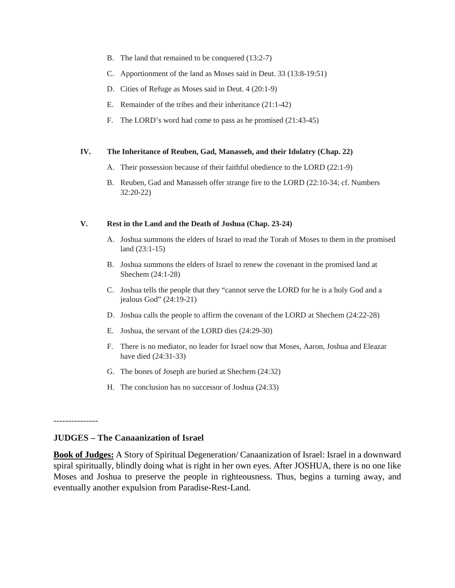- B. The land that remained to be conquered (13:2-7)
- C. Apportionment of the land as Moses said in Deut. 33 (13:8-19:51)
- D. Cities of Refuge as Moses said in Deut. 4 (20:1-9)
- E. Remainder of the tribes and their inheritance (21:1-42)
- F. The LORD's word had come to pass as he promised (21:43-45)

#### **IV. The Inheritance of Reuben, Gad, Manasseh, and their Idolatry (Chap. 22)**

- A. Their possession because of their faithful obedience to the LORD (22:1-9)
- B. Reuben, Gad and Manasseh offer strange fire to the LORD (22:10-34; cf. Numbers 32:20-22)

#### **V. Rest in the Land and the Death of Joshua (Chap. 23-24)**

- A. Joshua summons the elders of Israel to read the Torah of Moses to them in the promised land (23:1-15)
- B. Joshua summons the elders of Israel to renew the covenant in the promised land at Shechem (24:1-28)
- C. Joshua tells the people that they "cannot serve the LORD for he is a holy God and a jealous God" (24:19-21)
- D. Joshua calls the people to affirm the covenant of the LORD at Shechem (24:22-28)
- E. Joshua, the servant of the LORD dies (24:29-30)
- F. There is no mediator, no leader for Israel now that Moses, Aaron, Joshua and Eleazar have died (24:31-33)
- G. The bones of Joseph are buried at Shechem (24:32)
- H. The conclusion has no successor of Joshua (24:33)

#### ---------------

#### **JUDGES – The Canaanization of Israel**

**Book of Judges:** A Story of Spiritual Degeneration/ Canaanization of Israel: Israel in a downward spiral spiritually, blindly doing what is right in her own eyes. After JOSHUA, there is no one like Moses and Joshua to preserve the people in righteousness. Thus, begins a turning away, and eventually another expulsion from Paradise-Rest-Land.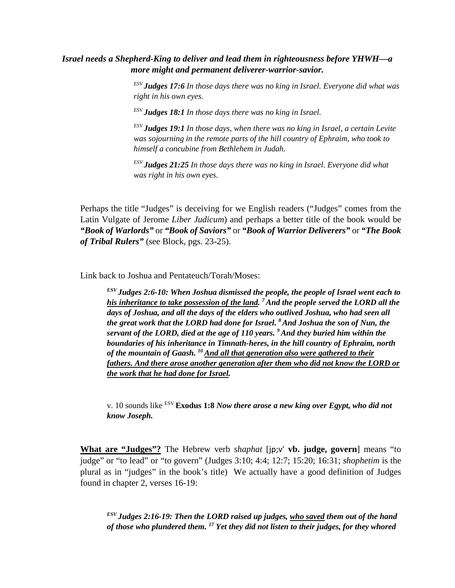## *Israel needs a Shepherd-King to deliver and lead them in righteousness before YHWH—a more might and permanent deliverer-warrior-savior.*

*ESV Judges 17:6 In those days there was no king in Israel. Everyone did what was right in his own eyes.*

*ESV Judges 18:1 In those days there was no king in Israel.* 

*ESV Judges 19:1 In those days, when there was no king in Israel, a certain Levite was sojourning in the remote parts of the hill country of Ephraim, who took to himself a concubine from Bethlehem in Judah.*

*ESV Judges 21:25 In those days there was no king in Israel. Everyone did what was right in his own eyes.*

Perhaps the title "Judges" is deceiving for we English readers ("Judges" comes from the Latin Vulgate of Jerome *Liber Judicum*) and perhaps a better title of the book would be *"Book of Warlords"* or *"Book of Saviors"* or *"Book of Warrior Deliverers"* or *"The Book of Tribal Rulers"* (see Block, pgs. 23-25).

Link back to Joshua and Pentateuch/Torah/Moses:

*ESV Judges 2:6-10: When Joshua dismissed the people, the people of Israel went each to his inheritance to take possession of the land. 7 And the people served the LORD all the days of Joshua, and all the days of the elders who outlived Joshua, who had seen all the great work that the LORD had done for Israel. 8 And Joshua the son of Nun, the servant of the LORD, died at the age of 110 years. 9 And they buried him within the boundaries of his inheritance in Timnath-heres, in the hill country of Ephraim, north of the mountain of Gaash. 10 And all that generation also were gathered to their fathers. And there arose another generation after them who did not know the LORD or the work that he had done for Israel.*

v. 10 sounds like ESV **Exodus 1:8** *Now there arose a new king over Egypt, who did not know Joseph.*

**What are "Judges"?** The Hebrew verb *shaphat* [jp;v' **vb. judge, govern**] means "to judge" or "to lead" or "to govern" (Judges 3:10; 4:4; 12:7; 15:20; 16:31; *shophetim* is the plural as in "judges" in the book's title) We actually have a good definition of Judges found in chapter 2, verses 16-19:

*ESV Judges 2:16-19: Then the LORD raised up judges, who saved them out of the hand of those who plundered them. <sup>17</sup> Yet they did not listen to their judges, for they whored*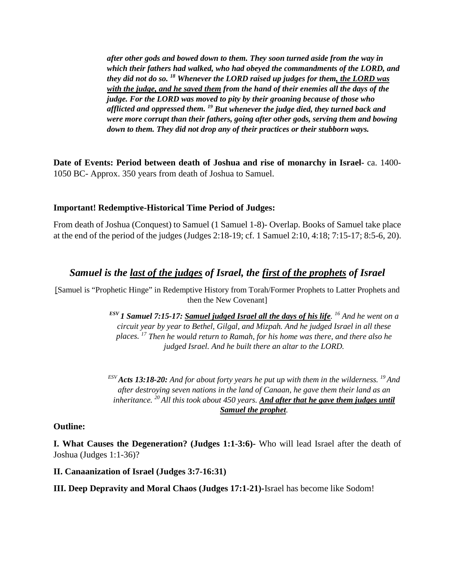*after other gods and bowed down to them. They soon turned aside from the way in which their fathers had walked, who had obeyed the commandments of the LORD, and they did not do so. <sup>18</sup> Whenever the LORD raised up judges for them, the LORD was with the judge, and he saved them from the hand of their enemies all the days of the judge. For the LORD was moved to pity by their groaning because of those who afflicted and oppressed them. <sup>19</sup> But whenever the judge died, they turned back and were more corrupt than their fathers, going after other gods, serving them and bowing down to them. They did not drop any of their practices or their stubborn ways.*

**Date of Events: Period between death of Joshua and rise of monarchy in Israel-** ca. 1400- 1050 BC- Approx. 350 years from death of Joshua to Samuel.

## **Important! Redemptive-Historical Time Period of Judges:**

From death of Joshua (Conquest) to Samuel (1 Samuel 1-8)- Overlap. Books of Samuel take place at the end of the period of the judges (Judges 2:18-19; cf. 1 Samuel 2:10, 4:18; 7:15-17; 8:5-6, 20).

## *Samuel is the last of the judges of Israel, the first of the prophets of Israel*

[Samuel is "Prophetic Hinge" in Redemptive History from Torah/Former Prophets to Latter Prophets and then the New Covenant]

> *ESV 1 Samuel 7:15-17: Samuel judged Israel all the days of his life. 16 And he went on a circuit year by year to Bethel, Gilgal, and Mizpah. And he judged Israel in all these places. <sup>17</sup> Then he would return to Ramah, for his home was there, and there also he judged Israel. And he built there an altar to the LORD.*

> *ESV Acts 13:18-20: And for about forty years he put up with them in the wilderness. 19 And after destroying seven nations in the land of Canaan, he gave them their land as an inheritance. 20 All this took about 450 years. And after that he gave them judges until Samuel the prophet.*

## **Outline:**

**I. What Causes the Degeneration? (Judges 1:1-3:6)-** Who will lead Israel after the death of Joshua (Judges 1:1-36)?

**II. Canaanization of Israel (Judges 3:7-16:31)**

**III. Deep Depravity and Moral Chaos (Judges 17:1-21)-**Israel has become like Sodom!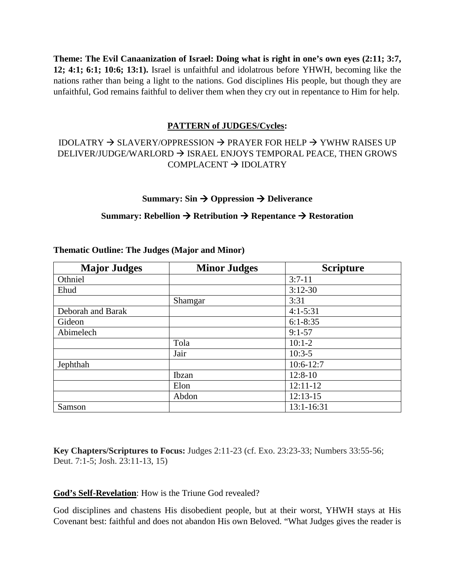**Theme: The Evil Canaanization of Israel: Doing what is right in one's own eyes (2:11; 3:7, 12; 4:1; 6:1; 10:6; 13:1).** Israel is unfaithful and idolatrous before YHWH, becoming like the nations rather than being a light to the nations. God disciplines His people, but though they are unfaithful, God remains faithful to deliver them when they cry out in repentance to Him for help.

## **PATTERN of JUDGES/Cycles:**

## IDOLATRY  $\rightarrow$  SLAVERY/OPPRESSION  $\rightarrow$  PRAYER FOR HELP  $\rightarrow$  YWHW RAISES UP DELIVER/JUDGE/WARLORD  $\rightarrow$  ISRAEL ENJOYS TEMPORAL PEACE, THEN GROWS  $COMPLACENT \rightarrow IDOLATRY$

#### **Summary: Sin**  $\rightarrow$  **Oppression**  $\rightarrow$  **Deliverance**

## **Summary: Rebellion**  $\rightarrow$  **Retribution**  $\rightarrow$  **Repentance**  $\rightarrow$  **Restoration**

| <b>Major Judges</b> | <b>Minor Judges</b> | <b>Scripture</b> |
|---------------------|---------------------|------------------|
| Othniel             |                     | $3:7-11$         |
| Ehud                |                     | $3:12-30$        |
|                     | Shamgar             | 3:31             |
| Deborah and Barak   |                     | $4:1 - 5:31$     |
| Gideon              |                     | $6:1 - 8:35$     |
| Abimelech           |                     | $9:1 - 57$       |
|                     | Tola                | $10:1-2$         |
|                     | Jair                | $10:3-5$         |
| Jephthah            |                     | $10:6-12:7$      |
|                     | Ibzan               | $12:8-10$        |
|                     | Elon                | $12:11-12$       |
|                     | Abdon               | $12:13-15$       |
| Samson              |                     | 13:1-16:31       |

#### **Thematic Outline: The Judges (Major and Minor)**

**Key Chapters/Scriptures to Focus:** Judges 2:11-23 (cf. Exo. 23:23-33; Numbers 33:55-56; Deut. 7:1-5; Josh. 23:11-13, 15)

## **God's Self-Revelation**: How is the Triune God revealed?

God disciplines and chastens His disobedient people, but at their worst, YHWH stays at His Covenant best: faithful and does not abandon His own Beloved. "What Judges gives the reader is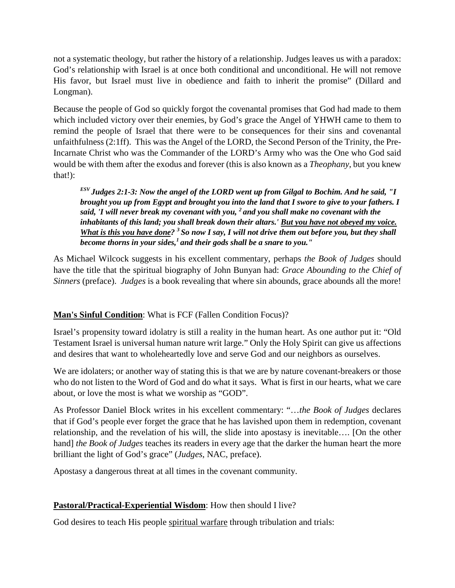not a systematic theology, but rather the history of a relationship. Judges leaves us with a paradox: God's relationship with Israel is at once both conditional and unconditional. He will not remove His favor, but Israel must live in obedience and faith to inherit the promise" (Dillard and Longman).

Because the people of God so quickly forgot the covenantal promises that God had made to them which included victory over their enemies, by God's grace the Angel of YHWH came to them to remind the people of Israel that there were to be consequences for their sins and covenantal unfaithfulness (2:1ff). This was the Angel of the LORD, the Second Person of the Trinity, the Pre-Incarnate Christ who was the Commander of the LORD's Army who was the One who God said would be with them after the exodus and forever (this is also known as a *Theophany*, but you knew that!):

*ESV Judges 2:1-3: Now the angel of the LORD went up from Gilgal to Bochim. And he said, "I brought you up from Egypt and brought you into the land that I swore to give to your fathers. I said, 'I will never break my covenant with you, 2 and you shall make no covenant with the inhabitants of this land; you shall break down their altars.' But you have not obeyed my voice. What is this you have done? 3 So now I say, I will not drive them out before you, but they shall become thorns in your sides,1 and their gods shall be a snare to you."*

As Michael Wilcock suggests in his excellent commentary, perhaps *the Book of Judges* should have the title that the spiritual biography of John Bunyan had: *Grace Abounding to the Chief of Sinners* (preface). *Judges* is a book revealing that where sin abounds, grace abounds all the more!

## **Man's Sinful Condition**: What is FCF (Fallen Condition Focus)?

Israel's propensity toward idolatry is still a reality in the human heart. As one author put it: "Old Testament Israel is universal human nature writ large." Only the Holy Spirit can give us affections and desires that want to wholeheartedly love and serve God and our neighbors as ourselves.

We are idolaters; or another way of stating this is that we are by nature covenant-breakers or those who do not listen to the Word of God and do what it says. What is first in our hearts, what we care about, or love the most is what we worship as "GOD".

As Professor Daniel Block writes in his excellent commentary: "…*the Book of Judges* declares that if God's people ever forget the grace that he has lavished upon them in redemption, covenant relationship, and the revelation of his will, the slide into apostasy is inevitable…. [On the other hand] *the Book of Judges* teaches its readers in every age that the darker the human heart the more brilliant the light of God's grace" (*Judges*, NAC, preface).

Apostasy a dangerous threat at all times in the covenant community.

## **Pastoral/Practical-Experiential Wisdom**: How then should I live?

God desires to teach His people spiritual warfare through tribulation and trials: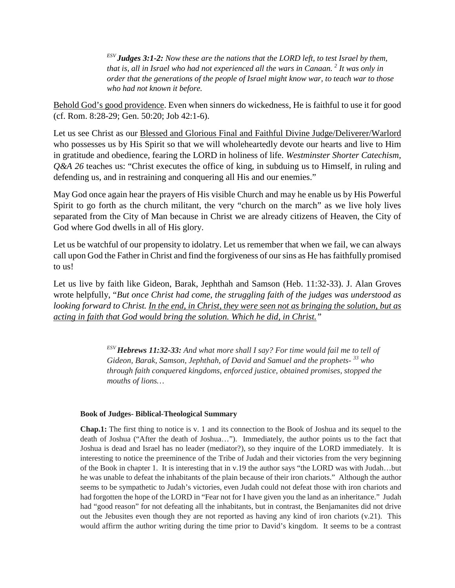*ESV Judges 3:1-2: Now these are the nations that the LORD left, to test Israel by them, that is, all in Israel who had not experienced all the wars in Canaan. 2 It was only in order that the generations of the people of Israel might know war, to teach war to those who had not known it before.*

Behold God's good providence. Even when sinners do wickedness, He is faithful to use it for good (cf. Rom. 8:28-29; Gen. 50:20; Job 42:1-6).

Let us see Christ as our Blessed and Glorious Final and Faithful Divine Judge/Deliverer/Warlord who possesses us by His Spirit so that we will wholeheartedly devote our hearts and live to Him in gratitude and obedience, fearing the LORD in holiness of life. *Westminster Shorter Catechism, Q&A 26* teaches us: "Christ executes the office of king, in subduing us to Himself, in ruling and defending us, and in restraining and conquering all His and our enemies."

May God once again hear the prayers of His visible Church and may he enable us by His Powerful Spirit to go forth as the church militant, the very "church on the march" as we live holy lives separated from the City of Man because in Christ we are already citizens of Heaven, the City of God where God dwells in all of His glory.

Let us be watchful of our propensity to idolatry. Let us remember that when we fail, we can always call upon God the Father in Christ and find the forgiveness of our sins as He has faithfully promised to us!

Let us live by faith like Gideon, Barak, Jephthah and Samson (Heb. 11:32-33). J. Alan Groves wrote helpfully, "*But once Christ had come, the struggling faith of the judges was understood as looking forward to Christ. In the end, in Christ, they were seen not as bringing the solution, but as acting in faith that God would bring the solution. Which he did, in Christ."*

> *ESV Hebrews 11:32-33: And what more shall I say? For time would fail me to tell of Gideon, Barak, Samson, Jephthah, of David and Samuel and the prophets- <sup>33</sup> who through faith conquered kingdoms, enforced justice, obtained promises, stopped the mouths of lions…*

#### **Book of Judges- Biblical-Theological Summary**

**Chap.1:** The first thing to notice is v. 1 and its connection to the Book of Joshua and its sequel to the death of Joshua ("After the death of Joshua…"). Immediately, the author points us to the fact that Joshua is dead and Israel has no leader (mediator?), so they inquire of the LORD immediately. It is interesting to notice the preeminence of the Tribe of Judah and their victories from the very beginning of the Book in chapter 1. It is interesting that in v.19 the author says "the LORD was with Judah…but he was unable to defeat the inhabitants of the plain because of their iron chariots." Although the author seems to be sympathetic to Judah's victories, even Judah could not defeat those with iron chariots and had forgotten the hope of the LORD in "Fear not for I have given you the land as an inheritance." Judah had "good reason" for not defeating all the inhabitants, but in contrast, the Benjamanites did not drive out the Jebusites even though they are not reported as having any kind of iron chariots (v.21). This would affirm the author writing during the time prior to David's kingdom. It seems to be a contrast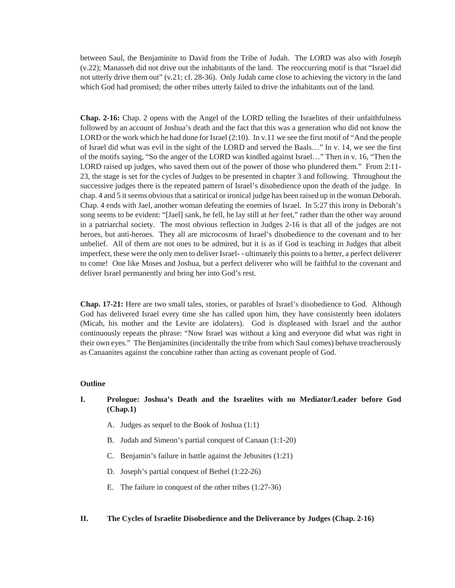between Saul, the Benjaminite to David from the Tribe of Judah. The LORD was also with Joseph (v.22); Manasseh did not drive out the inhabitants of the land. The reoccurring motif is that "Israel did not utterly drive them out" (v.21; cf. 28-36). Only Judah came close to achieving the victory in the land which God had promised; the other tribes utterly failed to drive the inhabitants out of the land.

**Chap. 2-16:** Chap. 2 opens with the Angel of the LORD telling the Israelites of their unfaithfulness followed by an account of Joshua's death and the fact that this was a generation who did not know the LORD or the work which he had done for Israel (2:10). In v.11 we see the first motif of "And the people of Israel did what was evil in the sight of the LORD and served the Baals…" In v. 14, we see the first of the motifs saying, "So the anger of the LORD was kindled against Israel…" Then in v. 16, "Then the LORD raised up judges, who saved them out of the power of those who plundered them." From 2:11- 23, the stage is set for the cycles of Judges to be presented in chapter 3 and following. Throughout the successive judges there is the repeated pattern of Israel's disobedience upon the death of the judge. In chap. 4 and 5 it seems obvious that a satirical or ironical judge has been raised up in the woman Deborah. Chap. 4 ends with Jael, another woman defeating the enemies of Israel. In 5:27 this irony in Deborah's song seems to be evident: "[Jael] sank, he fell, he lay still at *her* feet," rather than the other way around in a patriarchal society. The most obvious reflection in Judges 2-16 is that all of the judges are not heroes, but anti-heroes. They all are microcosms of Israel's disobedience to the covenant and to her unbelief. All of them are not ones to be admired, but it is as if God is teaching in Judges that albeit imperfect, these were the only men to deliver Israel- - ultimately this points to a better, a perfect deliverer to come! One like Moses and Joshua, but a perfect deliverer who will be faithful to the covenant and deliver Israel permanently and bring her into God's rest.

**Chap. 17-21:** Here are two small tales, stories, or parables of Israel's disobedience to God. Although God has delivered Israel every time she has called upon him, they have consistently been idolaters (Micah, his mother and the Levite are idolaters). God is displeased with Israel and the author continuously repeats the phrase: "Now Israel was without a king and everyone did what was right in their own eyes." The Benjaminites (incidentally the tribe from which Saul comes) behave treacherously as Canaanites against the concubine rather than acting as covenant people of God.

#### **Outline**

#### **I. Prologue: Joshua's Death and the Israelites with no Mediator/Leader before God (Chap.1)**

- A. Judges as sequel to the Book of Joshua (1:1)
- B. Judah and Simeon's partial conquest of Canaan (1:1-20)
- C. Benjamin's failure in battle against the Jebusites (1:21)
- D. Joseph's partial conquest of Bethel (1:22-26)
- E. The failure in conquest of the other tribes (1:27-36)

#### **II. The Cycles of Israelite Disobedience and the Deliverance by Judges (Chap. 2-16)**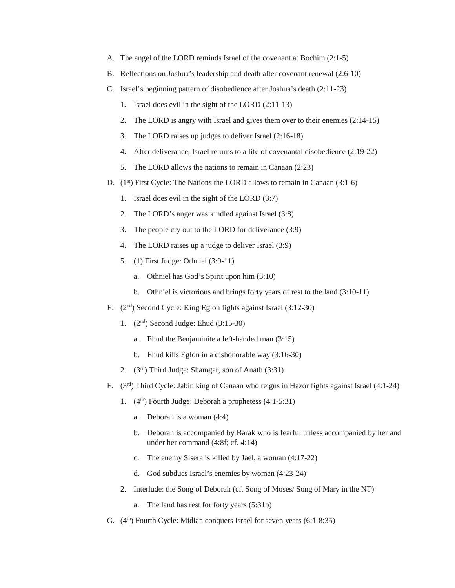- A. The angel of the LORD reminds Israel of the covenant at Bochim (2:1-5)
- B. Reflections on Joshua's leadership and death after covenant renewal (2:6-10)
- C. Israel's beginning pattern of disobedience after Joshua's death (2:11-23)
	- 1. Israel does evil in the sight of the LORD (2:11-13)
	- 2. The LORD is angry with Israel and gives them over to their enemies (2:14-15)
	- 3. The LORD raises up judges to deliver Israel (2:16-18)
	- 4. After deliverance, Israel returns to a life of covenantal disobedience (2:19-22)
	- 5. The LORD allows the nations to remain in Canaan (2:23)
- D. (1<sup>st</sup>) First Cycle: The Nations the LORD allows to remain in Canaan (3:1-6)
	- 1. Israel does evil in the sight of the LORD (3:7)
	- 2. The LORD's anger was kindled against Israel (3:8)
	- 3. The people cry out to the LORD for deliverance (3:9)
	- 4. The LORD raises up a judge to deliver Israel (3:9)
	- 5. (1) First Judge: Othniel (3:9-11)
		- a. Othniel has God's Spirit upon him (3:10)
		- b. Othniel is victorious and brings forty years of rest to the land (3:10-11)
- E.  $(2<sup>nd</sup>)$  Second Cycle: King Eglon fights against Israel  $(3:12-30)$ 
	- 1.  $(2<sup>nd</sup>)$  Second Judge: Ehud  $(3:15-30)$ 
		- a. Ehud the Benjaminite a left-handed man (3:15)
		- b. Ehud kills Eglon in a dishonorable way (3:16-30)
	- 2.  $(3<sup>rd</sup>)$  Third Judge: Shamgar, son of Anath  $(3:31)$
- F. (3rd) Third Cycle: Jabin king of Canaan who reigns in Hazor fights against Israel (4:1-24)
	- 1.  $(4<sup>th</sup>)$  Fourth Judge: Deborah a prophetess  $(4:1-5:31)$ 
		- a. Deborah is a woman (4:4)
		- b. Deborah is accompanied by Barak who is fearful unless accompanied by her and under her command (4:8f; cf. 4:14)
		- c. The enemy Sisera is killed by Jael, a woman (4:17-22)
		- d. God subdues Israel's enemies by women (4:23-24)
	- 2. Interlude: the Song of Deborah (cf. Song of Moses/ Song of Mary in the NT)
		- a. The land has rest for forty years (5:31b)
- G.  $(4<sup>th</sup>)$  Fourth Cycle: Midian conquers Israel for seven years  $(6:1-8:35)$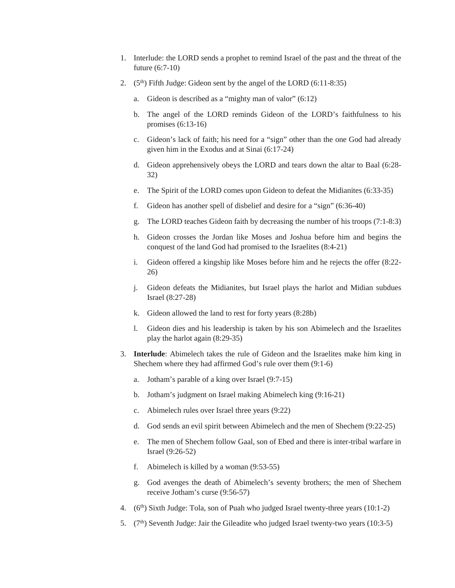- 1. Interlude: the LORD sends a prophet to remind Israel of the past and the threat of the future (6:7-10)
- 2.  $(5<sup>th</sup>)$  Fifth Judge: Gideon sent by the angel of the LORD  $(6:11-8:35)$ 
	- a. Gideon is described as a "mighty man of valor" (6:12)
	- b. The angel of the LORD reminds Gideon of the LORD's faithfulness to his promises (6:13-16)
	- c. Gideon's lack of faith; his need for a "sign" other than the one God had already given him in the Exodus and at Sinai (6:17-24)
	- d. Gideon apprehensively obeys the LORD and tears down the altar to Baal (6:28- 32)
	- e. The Spirit of the LORD comes upon Gideon to defeat the Midianites (6:33-35)
	- f. Gideon has another spell of disbelief and desire for a "sign" (6:36-40)
	- g. The LORD teaches Gideon faith by decreasing the number of his troops (7:1-8:3)
	- h. Gideon crosses the Jordan like Moses and Joshua before him and begins the conquest of the land God had promised to the Israelites (8:4-21)
	- i. Gideon offered a kingship like Moses before him and he rejects the offer (8:22- 26)
	- j. Gideon defeats the Midianites, but Israel plays the harlot and Midian subdues Israel (8:27-28)
	- k. Gideon allowed the land to rest for forty years (8:28b)
	- l. Gideon dies and his leadership is taken by his son Abimelech and the Israelites play the harlot again (8:29-35)
- 3. **Interlude**: Abimelech takes the rule of Gideon and the Israelites make him king in Shechem where they had affirmed God's rule over them (9:1-6)
	- a. Jotham's parable of a king over Israel (9:7-15)
	- b. Jotham's judgment on Israel making Abimelech king (9:16-21)
	- c. Abimelech rules over Israel three years (9:22)
	- d. God sends an evil spirit between Abimelech and the men of Shechem (9:22-25)
	- e. The men of Shechem follow Gaal, son of Ebed and there is inter-tribal warfare in Israel (9:26-52)
	- f. Abimelech is killed by a woman (9:53-55)
	- g. God avenges the death of Abimelech's seventy brothers; the men of Shechem receive Jotham's curse (9:56-57)
- 4. (6th) Sixth Judge: Tola, son of Puah who judged Israel twenty-three years (10:1-2)
- 5.  $(7<sup>th</sup>)$  Seventh Judge: Jair the Gileadite who judged Israel twenty-two years (10:3-5)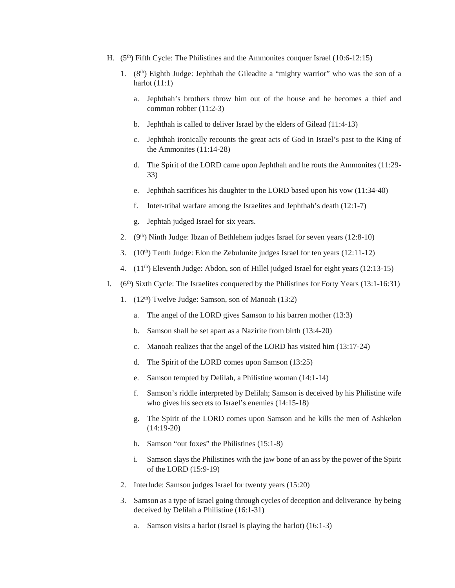- H.  $(5<sup>th</sup>)$  Fifth Cycle: The Philistines and the Ammonites conquer Israel (10:6-12:15)
	- 1.  $(8<sup>th</sup>)$  Eighth Judge: Jephthah the Gileadite a "mighty warrior" who was the son of a harlot  $(11:1)$ 
		- a. Jephthah's brothers throw him out of the house and he becomes a thief and common robber (11:2-3)
		- b. Jephthah is called to deliver Israel by the elders of Gilead (11:4-13)
		- c. Jephthah ironically recounts the great acts of God in Israel's past to the King of the Ammonites (11:14-28)
		- d. The Spirit of the LORD came upon Jephthah and he routs the Ammonites (11:29- 33)
		- e. Jephthah sacrifices his daughter to the LORD based upon his vow (11:34-40)
		- f. Inter-tribal warfare among the Israelites and Jephthah's death (12:1-7)
		- g. Jephtah judged Israel for six years.
	- 2.  $(9<sup>th</sup>)$  Ninth Judge: Ibzan of Bethlehem judges Israel for seven years  $(12:8-10)$
	- 3.  $(10<sup>th</sup>)$  Tenth Judge: Elon the Zebulunite judges Israel for ten years  $(12:11-12)$
	- 4. (11th) Eleventh Judge: Abdon, son of Hillel judged Israel for eight years (12:13-15)
- I.  $(6<sup>th</sup>)$  Sixth Cycle: The Israelites conquered by the Philistines for Forty Years (13:1-16:31)
	- 1. (12th) Twelve Judge: Samson, son of Manoah (13:2)
		- a. The angel of the LORD gives Samson to his barren mother (13:3)
		- b. Samson shall be set apart as a Nazirite from birth (13:4-20)
		- c. Manoah realizes that the angel of the LORD has visited him (13:17-24)
		- d. The Spirit of the LORD comes upon Samson (13:25)
		- e. Samson tempted by Delilah, a Philistine woman (14:1-14)
		- f. Samson's riddle interpreted by Delilah; Samson is deceived by his Philistine wife who gives his secrets to Israel's enemies (14:15-18)
		- g. The Spirit of the LORD comes upon Samson and he kills the men of Ashkelon (14:19-20)
		- h. Samson "out foxes" the Philistines (15:1-8)
		- i. Samson slays the Philistines with the jaw bone of an ass by the power of the Spirit of the LORD (15:9-19)
	- 2. Interlude: Samson judges Israel for twenty years (15:20)
	- 3. Samson as a type of Israel going through cycles of deception and deliverance by being deceived by Delilah a Philistine (16:1-31)
		- a. Samson visits a harlot (Israel is playing the harlot) (16:1-3)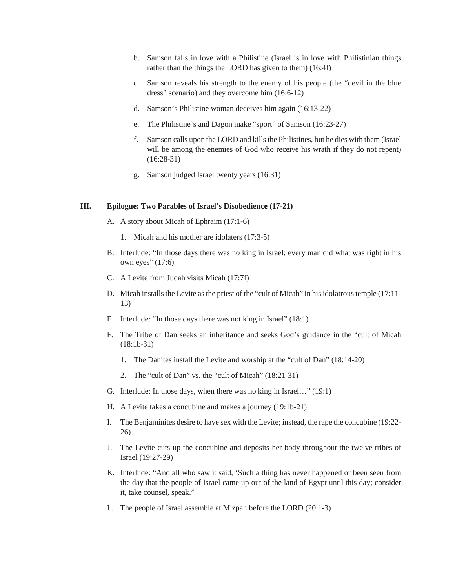- b. Samson falls in love with a Philistine (Israel is in love with Philistinian things rather than the things the LORD has given to them) (16:4f)
- c. Samson reveals his strength to the enemy of his people (the "devil in the blue dress" scenario) and they overcome him (16:6-12)
- d. Samson's Philistine woman deceives him again (16:13-22)
- e. The Philistine's and Dagon make "sport" of Samson (16:23-27)
- f. Samson calls upon the LORD and kills the Philistines, but he dies with them (Israel will be among the enemies of God who receive his wrath if they do not repent) (16:28-31)
- g. Samson judged Israel twenty years (16:31)

#### **III. Epilogue: Two Parables of Israel's Disobedience (17-21)**

- A. A story about Micah of Ephraim (17:1-6)
	- 1. Micah and his mother are idolaters (17:3-5)
- B. Interlude: "In those days there was no king in Israel; every man did what was right in his own eyes" (17:6)
- C. A Levite from Judah visits Micah (17:7f)
- D. Micah installs the Levite as the priest of the "cult of Micah" in his idolatrous temple (17:11- 13)
- E. Interlude: "In those days there was not king in Israel" (18:1)
- F. The Tribe of Dan seeks an inheritance and seeks God's guidance in the "cult of Micah (18:1b-31)
	- 1. The Danites install the Levite and worship at the "cult of Dan" (18:14-20)
	- 2. The "cult of Dan" vs. the "cult of Micah" (18:21-31)
- G. Interlude: In those days, when there was no king in Israel…" (19:1)
- H. A Levite takes a concubine and makes a journey (19:1b-21)
- I. The Benjaminites desire to have sex with the Levite; instead, the rape the concubine (19:22- 26)
- J. The Levite cuts up the concubine and deposits her body throughout the twelve tribes of Israel (19:27-29)
- K. Interlude: "And all who saw it said, 'Such a thing has never happened or been seen from the day that the people of Israel came up out of the land of Egypt until this day; consider it, take counsel, speak."
- L. The people of Israel assemble at Mizpah before the LORD (20:1-3)